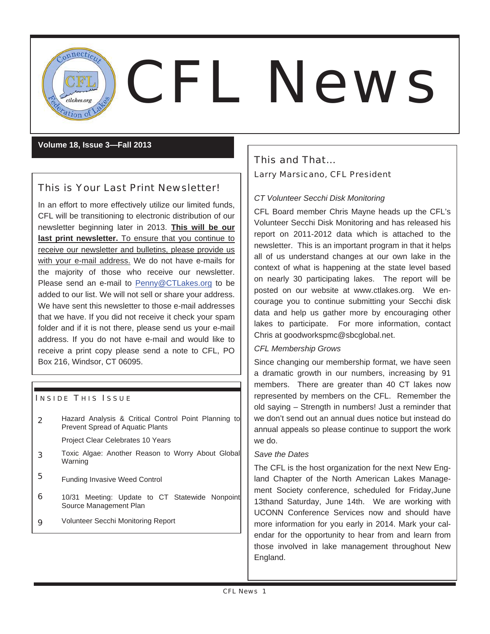# CFL NeWS

#### **Volume 18, Issue 3—Fall 2013**

# This is Your Last Print Newsletter!

In an effort to more effectively utilize our limited funds, CFL will be transitioning to electronic distribution of our newsletter beginning later in 2013. **This will be our**  last print newsletter. To ensure that you continue to receive our newsletter and bulletins, please provide us with your e-mail address. We do not have e-mails for the majority of those who receive our newsletter. Please send an e-mail to Penny@CTLakes.org to be added to our list. We will not sell or share your address. We have sent this newsletter to those e-mail addresses that we have. If you did not receive it check your spam folder and if it is not there, please send us your e-mail address. If you do not have e-mail and would like to receive a print copy please send a note to CFL, PO Box 216, Windsor, CT 06095.

#### INSIDE THIS ISSUE

2 Hazard Analysis & Critical Control Point Planning to Prevent Spread of Aquatic Plants

Project Clear Celebrates 10 Years

- 3 Toxic Algae: Another Reason to Worry About Global Warning
- 5 Funding Invasive Weed Control
- 6 10/31 Meeting: Update to CT Statewide Nonpoint Source Management Plan
- 9 Volunteer Secchi Monitoring Report

# This and That… Larry Marsicano, CFL President

## *CT Volunteer Secchi Disk Monitoring*

CFL Board member Chris Mayne heads up the CFL's Volunteer Secchi Disk Monitoring and has released his report on 2011-2012 data which is attached to the newsletter. This is an important program in that it helps all of us understand changes at our own lake in the context of what is happening at the state level based on nearly 30 participating lakes. The report will be posted on our website at www.ctlakes.org. We encourage you to continue submitting your Secchi disk data and help us gather more by encouraging other lakes to participate. For more information, contact Chris at goodworkspmc@sbcglobal.net.

## *CFL Membership Grows*

Since changing our membership format, we have seen a dramatic growth in our numbers, increasing by 91 members. There are greater than 40 CT lakes now represented by members on the CFL. Remember the old saying – Strength in numbers! Just a reminder that we don't send out an annual dues notice but instead do annual appeals so please continue to support the work we do.

#### *Save the Dates*

The CFL is the host organization for the next New England Chapter of the North American Lakes Management Society conference, scheduled for Friday,June 13thand Saturday, June 14th. We are working with UCONN Conference Services now and should have more information for you early in 2014. Mark your calendar for the opportunity to hear from and learn from those involved in lake management throughout New England.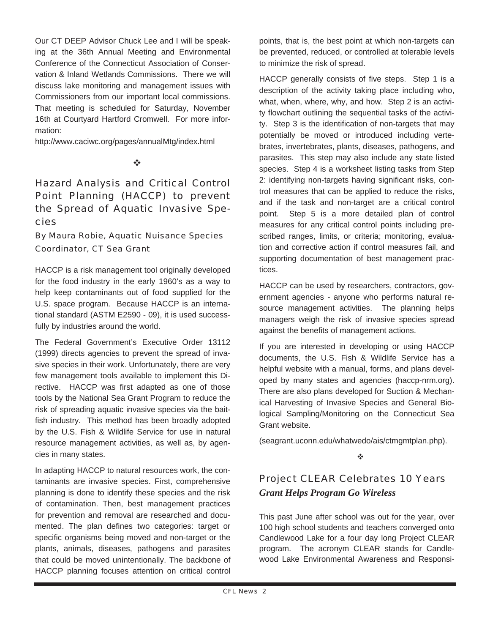Our CT DEEP Advisor Chuck Lee and I will be speaking at the 36th Annual Meeting and Environmental Conference of the Connecticut Association of Conservation & Inland Wetlands Commissions. There we will discuss lake monitoring and management issues with Commissioners from our important local commissions. That meeting is scheduled for Saturday, November 16th at Courtyard Hartford Cromwell. For more information:

http://www.caciwc.org/pages/annualMtg/index.html

#### $\frac{1}{2}$

# Hazard Analysis and Critical Control Point Planning (HACCP) to prevent the Spread of Aquatic Invasive Species

## By Maura Robie, Aquatic Nuisance Species Coordinator, CT Sea Grant

HACCP is a risk management tool originally developed for the food industry in the early 1960's as a way to help keep contaminants out of food supplied for the U.S. space program. Because HACCP is an international standard (ASTM E2590 - 09), it is used successfully by industries around the world.

The Federal Government's Executive Order 13112 (1999) directs agencies to prevent the spread of invasive species in their work. Unfortunately, there are very few management tools available to implement this Directive. HACCP was first adapted as one of those tools by the National Sea Grant Program to reduce the risk of spreading aquatic invasive species via the baitfish industry. This method has been broadly adopted by the U.S. Fish & Wildlife Service for use in natural resource management activities, as well as, by agencies in many states.

In adapting HACCP to natural resources work, the contaminants are invasive species. First, comprehensive planning is done to identify these species and the risk of contamination. Then, best management practices for prevention and removal are researched and documented. The plan defines two categories: target or specific organisms being moved and non-target or the plants, animals, diseases, pathogens and parasites that could be moved unintentionally. The backbone of HACCP planning focuses attention on critical control points, that is, the best point at which non-targets can be prevented, reduced, or controlled at tolerable levels to minimize the risk of spread.

HACCP generally consists of five steps. Step 1 is a description of the activity taking place including who, what, when, where, why, and how. Step 2 is an activity flowchart outlining the sequential tasks of the activity. Step 3 is the identification of non-targets that may potentially be moved or introduced including vertebrates, invertebrates, plants, diseases, pathogens, and parasites. This step may also include any state listed species. Step 4 is a worksheet listing tasks from Step 2: identifying non-targets having significant risks, control measures that can be applied to reduce the risks, and if the task and non-target are a critical control point. Step 5 is a more detailed plan of control measures for any critical control points including prescribed ranges, limits, or criteria; monitoring, evaluation and corrective action if control measures fail, and supporting documentation of best management practices.

HACCP can be used by researchers, contractors, government agencies - anyone who performs natural resource management activities. The planning helps managers weigh the risk of invasive species spread against the benefits of management actions.

If you are interested in developing or using HACCP documents, the U.S. Fish & Wildlife Service has a helpful website with a manual, forms, and plans developed by many states and agencies (haccp-nrm.org). There are also plans developed for Suction & Mechanical Harvesting of Invasive Species and General Biological Sampling/Monitoring on the Connecticut Sea Grant website.

(seagrant.uconn.edu/whatwedo/ais/ctmgmtplan.php).

÷

# Project CLEAR Celebrates 10 Years *Grant Helps Program Go Wireless*

This past June after school was out for the year, over 100 high school students and teachers converged onto Candlewood Lake for a four day long Project CLEAR program. The acronym CLEAR stands for Candlewood Lake Environmental Awareness and Responsi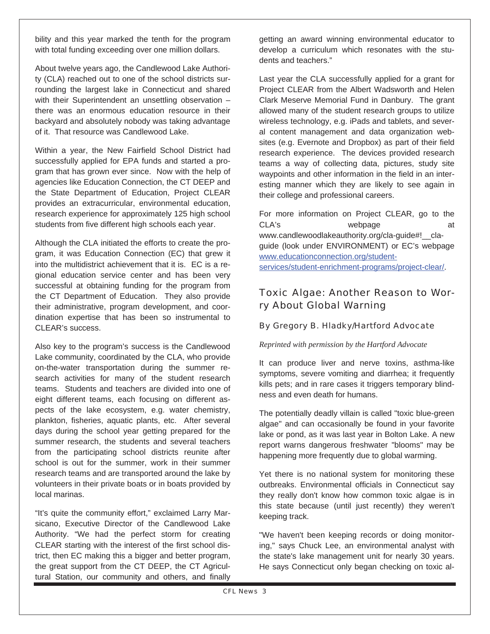bility and this year marked the tenth for the program with total funding exceeding over one million dollars.

About twelve years ago, the Candlewood Lake Authority (CLA) reached out to one of the school districts surrounding the largest lake in Connecticut and shared with their Superintendent an unsettling observation there was an enormous education resource in their backyard and absolutely nobody was taking advantage of it. That resource was Candlewood Lake.

Within a year, the New Fairfield School District had successfully applied for EPA funds and started a program that has grown ever since. Now with the help of agencies like Education Connection, the CT DEEP and the State Department of Education, Project CLEAR provides an extracurricular, environmental education, research experience for approximately 125 high school students from five different high schools each year.

Although the CLA initiated the efforts to create the program, it was Education Connection (EC) that grew it into the multidistrict achievement that it is. EC is a regional education service center and has been very successful at obtaining funding for the program from the CT Department of Education. They also provide their administrative, program development, and coordination expertise that has been so instrumental to CLEAR's success.

Also key to the program's success is the Candlewood Lake community, coordinated by the CLA, who provide on-the-water transportation during the summer research activities for many of the student research teams. Students and teachers are divided into one of eight different teams, each focusing on different aspects of the lake ecosystem, e.g. water chemistry, plankton, fisheries, aquatic plants, etc. After several days during the school year getting prepared for the summer research, the students and several teachers from the participating school districts reunite after school is out for the summer, work in their summer research teams and are transported around the lake by volunteers in their private boats or in boats provided by local marinas.

"It's quite the community effort," exclaimed Larry Marsicano, Executive Director of the Candlewood Lake Authority. "We had the perfect storm for creating CLEAR starting with the interest of the first school district, then EC making this a bigger and better program, the great support from the CT DEEP, the CT Agricultural Station, our community and others, and finally getting an award winning environmental educator to develop a curriculum which resonates with the students and teachers."

Last year the CLA successfully applied for a grant for Project CLEAR from the Albert Wadsworth and Helen Clark Meserve Memorial Fund in Danbury. The grant allowed many of the student research groups to utilize wireless technology, e.g. iPads and tablets, and several content management and data organization websites (e.g. Evernote and Dropbox) as part of their field research experience. The devices provided research teams a way of collecting data, pictures, study site waypoints and other information in the field in an interesting manner which they are likely to see again in their college and professional careers.

For more information on Project CLEAR, go to the CLA's webpage at www.candlewoodlakeauthority.org/cla-guide#!\_\_claguide (look under ENVIRONMENT) or EC's webpage www.educationconnection.org/studentservices/student-enrichment-programs/project-clear/.

## Toxic Algae: Another Reason to Worry About Global Warning

#### By Gregory B. Hladky/Hartford Advocate

#### *Reprinted with permission by the Hartford Advocate*

It can produce liver and nerve toxins, asthma-like symptoms, severe vomiting and diarrhea; it frequently kills pets; and in rare cases it triggers temporary blindness and even death for humans.

The potentially deadly villain is called "toxic blue-green algae" and can occasionally be found in your favorite lake or pond, as it was last year in Bolton Lake. A new report warns dangerous freshwater "blooms" may be happening more frequently due to global warming.

Yet there is no national system for monitoring these outbreaks. Environmental officials in Connecticut say they really don't know how common toxic algae is in this state because (until just recently) they weren't keeping track.

"We haven't been keeping records or doing monitoring," says Chuck Lee, an environmental analyst with the state's lake management unit for nearly 30 years. He says Connecticut only began checking on toxic al-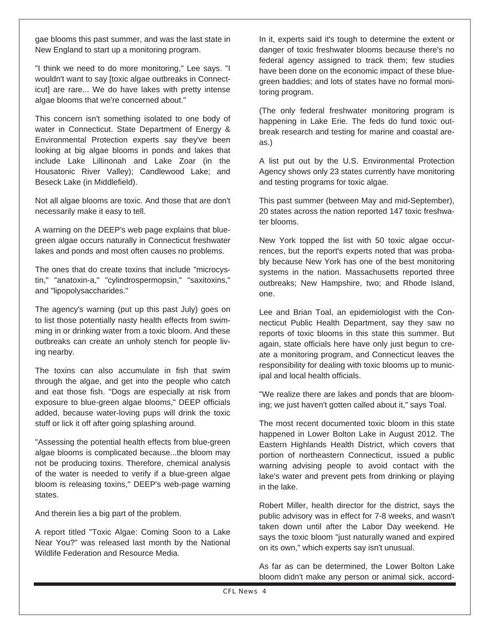gae blooms this past summer, and was the last state in New England to start up a monitoring program.

"I think we need to do more monitoring," Lee says. "I wouldn't want to say [toxic algae outbreaks in Connecticut] are rare... We do have lakes with pretty intense algae blooms that we're concerned about."

This concern isn't something isolated to one body of water in Connecticut. State Department of Energy & Environmental Protection experts say they've been looking at big algae blooms in ponds and lakes that include Lake Lillinonah and Lake Zoar (in the Housatonic River Valley); Candlewood Lake; and Beseck Lake (in Middlefield).

Not all algae blooms are toxic. And those that are don't necessarily make it easy to tell.

A warning on the DEEP's web page explains that bluegreen algae occurs naturally in Connecticut freshwater lakes and ponds and most often causes no problems.

The ones that do create toxins that include "microcystin," "anatoxin-a," "cylindrospermopsin," "saxitoxins," and "lipopolysaccharides."

The agency's warning (put up this past July) goes on to list those potentially nasty health effects from swimming in or drinking water from a toxic bloom. And these outbreaks can create an unholy stench for people living nearby.

The toxins can also accumulate in fish that swim through the algae, and get into the people who catch and eat those fish. "Dogs are especially at risk from exposure to blue-green algae blooms," DEEP officials added, because water-loving pups will drink the toxic stuff or lick it off after going splashing around.

"Assessing the potential health effects from blue-green algae blooms is complicated because...the bloom may not be producing toxins. Therefore, chemical analysis of the water is needed to verify if a blue-green algae bloom is releasing toxins," DEEP's web-page warning states.

And therein lies a big part of the problem.

A report titled "Toxic Algae: Coming Soon to a Lake Near You?" was released last month by the National Wildlife Federation and Resource Media.

In it, experts said it's tough to determine the extent or danger of toxic freshwater blooms because there's no federal agency assigned to track them; few studies have been done on the economic impact of these bluegreen baddies; and lots of states have no formal monitoring program.

(The only federal freshwater monitoring program is happening in Lake Erie. The feds do fund toxic outbreak research and testing for marine and coastal areas.)

A list put out by the U.S. Environmental Protection Agency shows only 23 states currently have monitoring and testing programs for toxic algae.

This past summer (between May and mid-September), 20 states across the nation reported 147 toxic freshwater blooms.

New York topped the list with 50 toxic algae occurrences, but the report's experts noted that was probably because New York has one of the best monitoring systems in the nation. Massachusetts reported three outbreaks; New Hampshire, two; and Rhode Island, one.

Lee and Brian Toal, an epidemiologist with the Connecticut Public Health Department, say they saw no reports of toxic blooms in this state this summer. But again, state officials here have only just begun to create a monitoring program, and Connecticut leaves the responsibility for dealing with toxic blooms up to municipal and local health officials.

"We realize there are lakes and ponds that are blooming; we just haven't gotten called about it," says Toal.

The most recent documented toxic bloom in this state happened in Lower Bolton Lake in August 2012. The Eastern Highlands Health District, which covers that portion of northeastern Connecticut, issued a public warning advising people to avoid contact with the lake's water and prevent pets from drinking or playing in the lake.

Robert Miller, health director for the district, says the public advisory was in effect for 7-8 weeks, and wasn't taken down until after the Labor Day weekend. He says the toxic bloom "just naturally waned and expired on its own," which experts say isn't unusual.

As far as can be determined, the Lower Bolton Lake bloom didn't make any person or animal sick, accord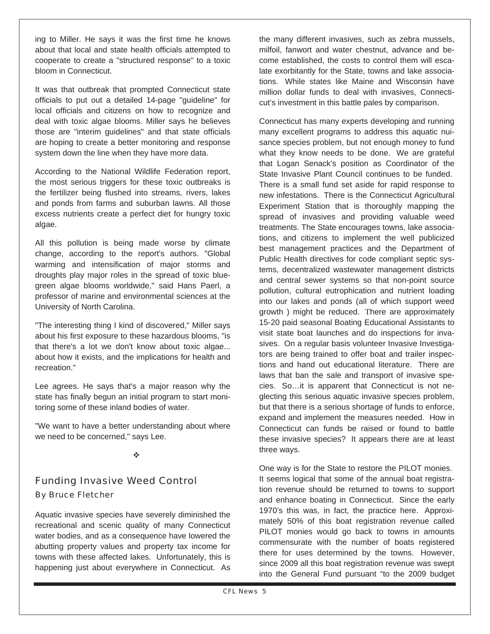ing to Miller. He says it was the first time he knows about that local and state health officials attempted to cooperate to create a "structured response" to a toxic bloom in Connecticut.

It was that outbreak that prompted Connecticut state officials to put out a detailed 14-page "guideline" for local officials and citizens on how to recognize and deal with toxic algae blooms. Miller says he believes those are "interim guidelines" and that state officials are hoping to create a better monitoring and response system down the line when they have more data.

According to the National Wildlife Federation report, the most serious triggers for these toxic outbreaks is the fertilizer being flushed into streams, rivers, lakes and ponds from farms and suburban lawns. All those excess nutrients create a perfect diet for hungry toxic algae.

All this pollution is being made worse by climate change, according to the report's authors. "Global warming and intensification of major storms and droughts play major roles in the spread of toxic bluegreen algae blooms worldwide," said Hans Paerl, a professor of marine and environmental sciences at the University of North Carolina.

"The interesting thing I kind of discovered," Miller says about his first exposure to these hazardous blooms, "is that there's a lot we don't know about toxic algae... about how it exists, and the implications for health and recreation."

Lee agrees. He says that's a major reason why the state has finally begun an initial program to start monitoring some of these inland bodies of water.

"We want to have a better understanding about where we need to be concerned," says Lee.

#### $\phi^*_{\alpha\beta}$

# Funding Invasive Weed Control By Bruce Fletcher

Aquatic invasive species have severely diminished the recreational and scenic quality of many Connecticut water bodies, and as a consequence have lowered the abutting property values and property tax income for towns with these affected lakes. Unfortunately, this is happening just about everywhere in Connecticut. As

the many different invasives, such as zebra mussels, milfoil, fanwort and water chestnut, advance and become established, the costs to control them will escalate exorbitantly for the State, towns and lake associations. While states like Maine and Wisconsin have million dollar funds to deal with invasives, Connecticut's investment in this battle pales by comparison.

Connecticut has many experts developing and running many excellent programs to address this aquatic nuisance species problem, but not enough money to fund what they know needs to be done. We are grateful that Logan Senack's position as Coordinator of the State Invasive Plant Council continues to be funded. There is a small fund set aside for rapid response to new infestations. There is the Connecticut Agricultural Experiment Station that is thoroughly mapping the spread of invasives and providing valuable weed treatments. The State encourages towns, lake associations, and citizens to implement the well publicized best management practices and the Department of Public Health directives for code compliant septic systems, decentralized wastewater management districts and central sewer systems so that non-point source pollution, cultural eutrophication and nutrient loading into our lakes and ponds (all of which support weed growth ) might be reduced. There are approximately 15-20 paid seasonal Boating Educational Assistants to visit state boat launches and do inspections for invasives. On a regular basis volunteer Invasive Investigators are being trained to offer boat and trailer inspections and hand out educational literature. There are laws that ban the sale and transport of invasive species. So…it is apparent that Connecticut is not neglecting this serious aquatic invasive species problem, but that there is a serious shortage of funds to enforce, expand and implement the measures needed. How in Connecticut can funds be raised or found to battle these invasive species? It appears there are at least three ways.

One way is for the State to restore the PILOT monies. It seems logical that some of the annual boat registration revenue should be returned to towns to support and enhance boating in Connecticut. Since the early 1970's this was, in fact, the practice here. Approximately 50% of this boat registration revenue called PILOT monies would go back to towns in amounts commensurate with the number of boats registered there for uses determined by the towns. However, since 2009 all this boat registration revenue was swept into the General Fund pursuant "to the 2009 budget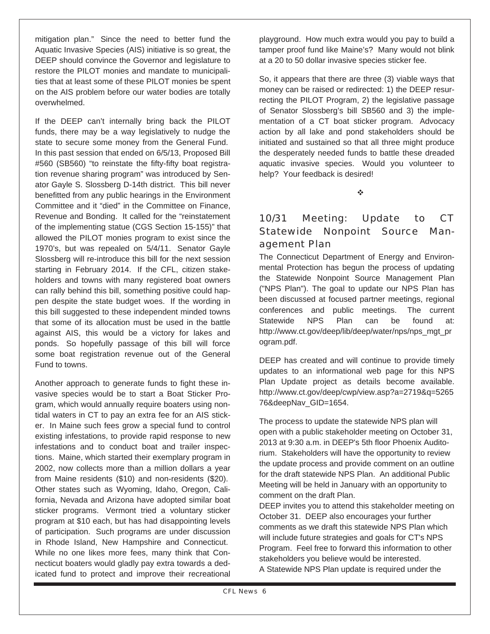mitigation plan." Since the need to better fund the Aquatic Invasive Species (AIS) initiative is so great, the DEEP should convince the Governor and legislature to restore the PILOT monies and mandate to municipalities that at least some of these PILOT monies be spent on the AIS problem before our water bodies are totally overwhelmed.

If the DEEP can't internally bring back the PILOT funds, there may be a way legislatively to nudge the state to secure some money from the General Fund. In this past session that ended on 6/5/13, Proposed Bill #560 (SB560) "to reinstate the fifty-fifty boat registration revenue sharing program" was introduced by Senator Gayle S. Slossberg D-14th district. This bill never benefitted from any public hearings in the Environment Committee and it "died" in the Committee on Finance, Revenue and Bonding. It called for the "reinstatement of the implementing statue (CGS Section 15-155)" that allowed the PILOT monies program to exist since the 1970's, but was repealed on 5/4/11. Senator Gayle Slossberg will re-introduce this bill for the next session starting in February 2014. If the CFL, citizen stakeholders and towns with many registered boat owners can rally behind this bill, something positive could happen despite the state budget woes. If the wording in this bill suggested to these independent minded towns that some of its allocation must be used in the battle against AIS, this would be a victory for lakes and ponds. So hopefully passage of this bill will force some boat registration revenue out of the General Fund to towns.

Another approach to generate funds to fight these invasive species would be to start a Boat Sticker Program, which would annually require boaters using nontidal waters in CT to pay an extra fee for an AIS sticker. In Maine such fees grow a special fund to control existing infestations, to provide rapid response to new infestations and to conduct boat and trailer inspections. Maine, which started their exemplary program in 2002, now collects more than a million dollars a year from Maine residents (\$10) and non-residents (\$20). Other states such as Wyoming, Idaho, Oregon, California, Nevada and Arizona have adopted similar boat sticker programs. Vermont tried a voluntary sticker program at \$10 each, but has had disappointing levels of participation. Such programs are under discussion in Rhode Island, New Hampshire and Connecticut. While no one likes more fees, many think that Connecticut boaters would gladly pay extra towards a dedicated fund to protect and improve their recreational playground. How much extra would you pay to build a tamper proof fund like Maine's? Many would not blink at a 20 to 50 dollar invasive species sticker fee.

So, it appears that there are three (3) viable ways that money can be raised or redirected: 1) the DEEP resurrecting the PILOT Program, 2) the legislative passage of Senator Slossberg's bill SB560 and 3) the implementation of a CT boat sticker program. Advocacy action by all lake and pond stakeholders should be initiated and sustained so that all three might produce the desperately needed funds to battle these dreaded aquatic invasive species. Would you volunteer to help? Your feedback is desired!

A.

# 10/31 Meeting: Update to CT Statewide Nonpoint Source Management Plan

The Connecticut Department of Energy and Environmental Protection has begun the process of updating the Statewide Nonpoint Source Management Plan ("NPS Plan"). The goal to update our NPS Plan has been discussed at focused partner meetings, regional conferences and public meetings. The current Statewide NPS Plan can be found at: http://www.ct.gov/deep/lib/deep/water/nps/nps\_mgt\_pr ogram.pdf.

DEEP has created and will continue to provide timely updates to an informational web page for this NPS Plan Update project as details become available. http://www.ct.gov/deep/cwp/view.asp?a=2719&q=5265 76&deepNav\_GID=1654.

The process to update the statewide NPS plan will open with a public stakeholder meeting on October 31, 2013 at 9:30 a.m. in DEEP's 5th floor Phoenix Auditorium. Stakeholders will have the opportunity to review the update process and provide comment on an outline for the draft statewide NPS Plan. An additional Public Meeting will be held in January with an opportunity to comment on the draft Plan.

DEEP invites you to attend this stakeholder meeting on October 31. DEEP also encourages your further comments as we draft this statewide NPS Plan which will include future strategies and goals for CT's NPS Program. Feel free to forward this information to other stakeholders you believe would be interested. A Statewide NPS Plan update is required under the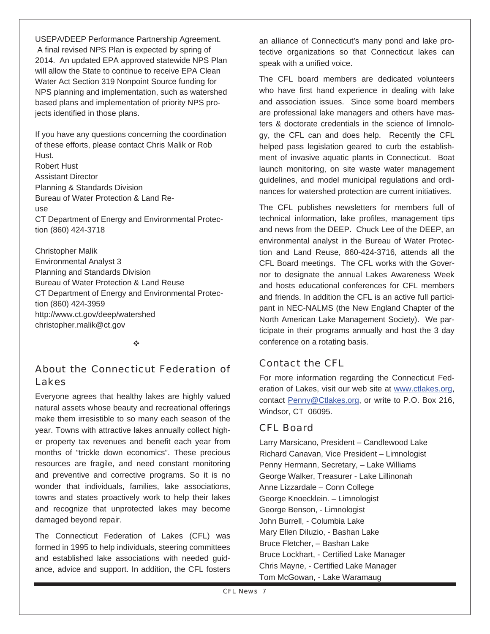USEPA/DEEP Performance Partnership Agreement. A final revised NPS Plan is expected by spring of 2014. An updated EPA approved statewide NPS Plan will allow the State to continue to receive EPA Clean Water Act Section 319 Nonpoint Source funding for NPS planning and implementation, such as watershed based plans and implementation of priority NPS projects identified in those plans.

If you have any questions concerning the coordination of these efforts, please contact Chris Malik or Rob Hust. Robert Hust Assistant Director Planning & Standards Division Bureau of Water Protection & Land Reuse CT Department of Energy and Environmental Protection (860) 424-3718

Christopher Malik Environmental Analyst 3 Planning and Standards Division Bureau of Water Protection & Land Reuse CT Department of Energy and Environmental Protection (860) 424-3959 http://www.ct.gov/deep/watershed christopher.malik@ct.gov

 $\frac{1}{2}$ 

# About the Connecticut Federation of Lakes

Everyone agrees that healthy lakes are highly valued natural assets whose beauty and recreational offerings make them irresistible to so many each season of the year. Towns with attractive lakes annually collect higher property tax revenues and benefit each year from months of "trickle down economics". These precious resources are fragile, and need constant monitoring and preventive and corrective programs. So it is no wonder that individuals, families, lake associations, towns and states proactively work to help their lakes and recognize that unprotected lakes may become damaged beyond repair.

The Connecticut Federation of Lakes (CFL) was formed in 1995 to help individuals, steering committees and established lake associations with needed guidance, advice and support. In addition, the CFL fosters an alliance of Connecticut's many pond and lake protective organizations so that Connecticut lakes can speak with a unified voice.

The CFL board members are dedicated volunteers who have first hand experience in dealing with lake and association issues. Since some board members are professional lake managers and others have masters & doctorate credentials in the science of limnology, the CFL can and does help. Recently the CFL helped pass legislation geared to curb the establishment of invasive aquatic plants in Connecticut. Boat launch monitoring, on site waste water management guidelines, and model municipal regulations and ordinances for watershed protection are current initiatives.

The CFL publishes newsletters for members full of technical information, lake profiles, management tips and news from the DEEP. Chuck Lee of the DEEP, an environmental analyst in the Bureau of Water Protection and Land Reuse, 860-424-3716, attends all the CFL Board meetings. The CFL works with the Governor to designate the annual Lakes Awareness Week and hosts educational conferences for CFL members and friends. In addition the CFL is an active full participant in NEC-NALMS (the New England Chapter of the North American Lake Management Society). We participate in their programs annually and host the 3 day conference on a rotating basis.

# Contact the CFL

For more information regarding the Connecticut Federation of Lakes, visit our web site at www.ctlakes.org, contact Penny@Ctlakes.org, or write to P.O. Box 216, Windsor, CT 06095.

# CFL Board

Larry Marsicano, President – Candlewood Lake Richard Canavan, Vice President – Limnologist Penny Hermann, Secretary, – Lake Williams George Walker, Treasurer - Lake Lillinonah Anne Lizzardale – Conn College George Knoecklein. – Limnologist George Benson, - Limnologist John Burrell, - Columbia Lake Mary Ellen Diluzio, - Bashan Lake Bruce Fletcher, – Bashan Lake Bruce Lockhart, - Certified Lake Manager Chris Mayne, - Certified Lake Manager Tom McGowan, - Lake Waramaug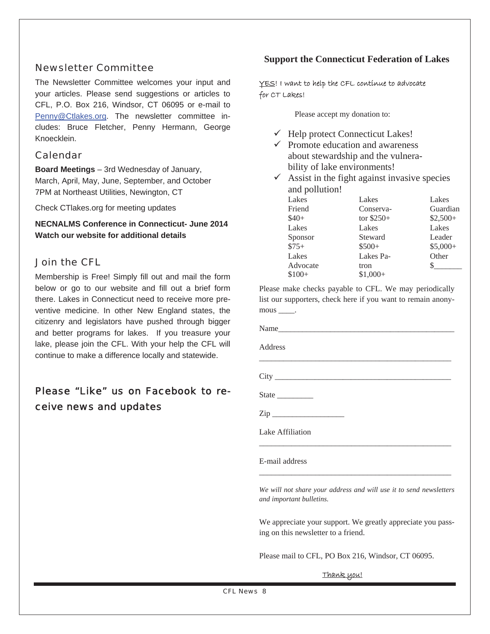## Newsletter Committee

The Newsletter Committee welcomes your input and your articles. Please send suggestions or articles to CFL, P.O. Box 216, Windsor, CT 06095 or e-mail to Penny@Ctlakes.org. The newsletter committee includes: Bruce Fletcher, Penny Hermann, George Knoecklein.

## Calendar

**Board Meetings** – 3rd Wednesday of January, March, April, May, June, September, and October 7PM at Northeast Utilities, Newington, CT

Check CTlakes.org for meeting updates

**NECNALMS Conference in Connecticut- June 2014 Watch our website for additional details**

#### Join the CFL

Membership is Free! Simply fill out and mail the form below or go to our website and fill out a brief form there. Lakes in Connecticut need to receive more preventive medicine. In other New England states, the citizenry and legislators have pushed through bigger and better programs for lakes. If you treasure your lake, please join the CFL. With your help the CFL will continue to make a difference locally and statewide.

# Please "Like" us on Facebook to receive news and updates

## **Support the Connecticut Federation of Lakes**

#### YES! I want to help the CFL continue to advocate for CT Lakes!

Please accept my donation to:

- $\checkmark$  Help protect Connecticut Lakes!
- $\checkmark$  Promote education and awareness about stewardship and the vulnerability of lake environments!
- $\checkmark$  Assist in the fight against invasive species and pollution!

| Lakes    | Lakes       | Lakes     |
|----------|-------------|-----------|
| Friend   | Conserva-   | Guardian  |
| $$40+$   | tor $$250+$ | $$2,500+$ |
| Lakes    | Lakes       | Lakes     |
| Sponsor  | Steward     | Leader    |
| $$75+$   | $$500+$     | $$5,000+$ |
| Lakes    | Lakes Pa-   | Other     |
| Advocate | tron        |           |
| $$100+$  | $$1,000+$   |           |

Please make checks payable to CFL. We may periodically list our supporters, check here if you want to remain anonymous .

Name Address \_\_\_\_\_\_\_\_\_\_\_\_\_\_\_\_\_\_\_\_\_\_\_\_\_\_\_\_\_\_\_\_\_\_\_\_\_\_\_\_\_\_\_\_\_\_\_\_ City \_\_\_\_\_\_\_\_\_\_\_\_\_\_\_\_\_\_\_\_\_\_\_\_\_\_\_\_\_\_\_\_\_\_\_\_\_\_\_\_\_\_\_\_ State  $\Box$  $\mathsf{Zip}$ Lake Affiliation

E-mail address

*We will not share your address and will use it to send newsletters and important bulletins.* 

\_\_\_\_\_\_\_\_\_\_\_\_\_\_\_\_\_\_\_\_\_\_\_\_\_\_\_\_\_\_\_\_\_\_\_\_\_\_\_\_\_\_\_\_\_\_\_\_

\_\_\_\_\_\_\_\_\_\_\_\_\_\_\_\_\_\_\_\_\_\_\_\_\_\_\_\_\_\_\_\_\_\_\_\_\_\_\_\_\_\_\_\_\_\_\_\_

We appreciate your support. We greatly appreciate you passing on this newsletter to a friend.

Please mail to CFL, PO Box 216, Windsor, CT 06095.

#### Thank you!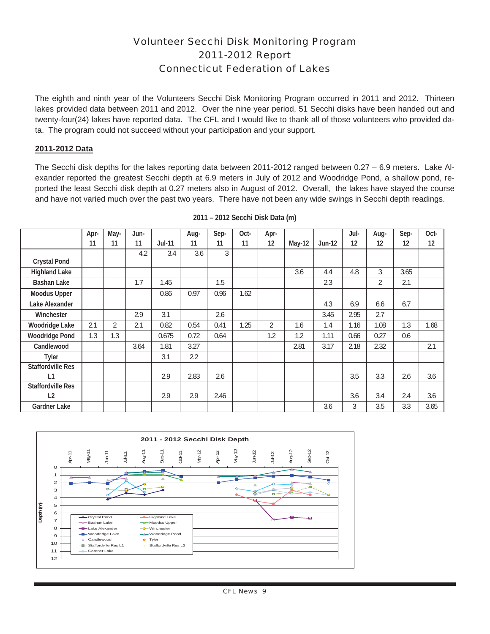# Volunteer Secchi Disk Monitoring Program 2011-2012 Report Connecticut Federation of Lakes

The eighth and ninth year of the Volunteers Secchi Disk Monitoring Program occurred in 2011 and 2012. Thirteen lakes provided data between 2011 and 2012. Over the nine year period, 51 Secchi disks have been handed out and twenty-four(24) lakes have reported data. The CFL and I would like to thank all of those volunteers who provided data. The program could not succeed without your participation and your support.

#### **2011-2012 Data**

The Secchi disk depths for the lakes reporting data between 2011-2012 ranged between 0.27 – 6.9 meters. Lake Alexander reported the greatest Secchi depth at 6.9 meters in July of 2012 and Woodridge Pond, a shallow pond, reported the least Secchi disk depth at 0.27 meters also in August of 2012. Overall, the lakes have stayed the course and have not varied much over the past two years. There have not been any wide swings in Secchi depth readings.

|                          | Apr- | May- | Jun- |               | Aug- | Sep- | Oct- | Apr-           |               |        | Jul- | Aug- | Sep- | Oct- |
|--------------------------|------|------|------|---------------|------|------|------|----------------|---------------|--------|------|------|------|------|
|                          | 11   | 11   | 11   | <b>Jul-11</b> | 11   | 11   | 11   | 12             | <b>May-12</b> | Jun-12 | 12   | 12   | 12   | 12   |
|                          |      |      | 4.2  | 3.4           | 3.6  | 3    |      |                |               |        |      |      |      |      |
| <b>Crystal Pond</b>      |      |      |      |               |      |      |      |                |               |        |      |      |      |      |
| <b>Highland Lake</b>     |      |      |      |               |      |      |      |                | 3.6           | 4.4    | 4.8  | 3    | 3.65 |      |
| <b>Bashan Lake</b>       |      |      | 1.7  | 1.45          |      | 1.5  |      |                |               | 2.3    |      | 2    | 2.1  |      |
| Moodus Upper             |      |      |      | 0.86          | 0.97 | 0.96 | 1.62 |                |               |        |      |      |      |      |
| Lake Alexander           |      |      |      |               |      |      |      |                |               | 4.3    | 6.9  | 6.6  | 6.7  |      |
| Winchester               |      |      | 2.9  | 3.1           |      | 2.6  |      |                |               | 3.45   | 2.95 | 2.7  |      |      |
| Woodridge Lake           | 2.1  | 2    | 2.1  | 0.82          | 0.54 | 0.41 | 1.25 | $\overline{2}$ | 1.6           | 1.4    | 1.16 | 1.08 | 1.3  | 1.68 |
| <b>Woodridge Pond</b>    | 1.3  | 1.3  |      | 0.675         | 0.72 | 0.64 |      | 1.2            | 1.2           | 1.11   | 0.66 | 0.27 | 0.6  |      |
| Candlewood               |      |      | 3.64 | 1.81          | 3.27 |      |      |                | 2.81          | 3.17   | 2.18 | 2.32 |      | 2.1  |
| Tyler                    |      |      |      | 3.1           | 2.2  |      |      |                |               |        |      |      |      |      |
| <b>Staffordville Res</b> |      |      |      |               |      |      |      |                |               |        |      |      |      |      |
| L1                       |      |      |      | 2.9           | 2.83 | 2.6  |      |                |               |        | 3.5  | 3.3  | 2.6  | 3.6  |
| <b>Staffordville Res</b> |      |      |      |               |      |      |      |                |               |        |      |      |      |      |
| L <sub>2</sub>           |      |      |      | 2.9           | 2.9  | 2.46 |      |                |               |        | 3.6  | 3.4  | 2.4  | 3.6  |
| <b>Gardner Lake</b>      |      |      |      |               |      |      |      |                |               | 3.6    | 3    | 3.5  | 3.3  | 3.65 |

**2011 – 2012 Secchi Disk Data (m)** 

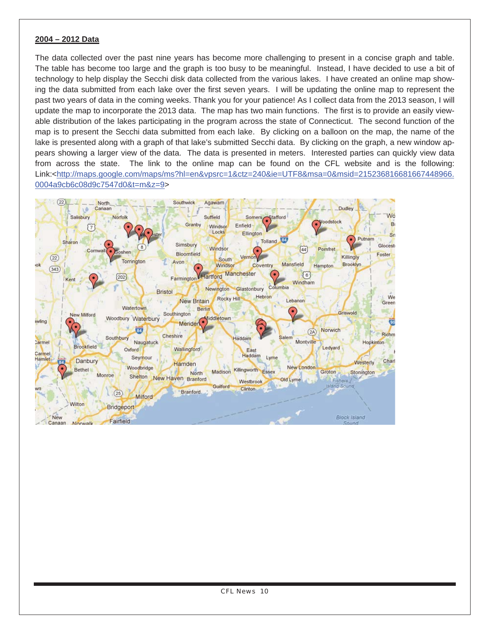#### **2004 – 2012 Data**

The data collected over the past nine years has become more challenging to present in a concise graph and table. The table has become too large and the graph is too busy to be meaningful. Instead, I have decided to use a bit of technology to help display the Secchi disk data collected from the various lakes. I have created an online map showing the data submitted from each lake over the first seven years. I will be updating the online map to represent the past two years of data in the coming weeks. Thank you for your patience! As I collect data from the 2013 season, I will update the map to incorporate the 2013 data. The map has two main functions. The first is to provide an easily viewable distribution of the lakes participating in the program across the state of Connecticut. The second function of the map is to present the Secchi data submitted from each lake. By clicking on a balloon on the map, the name of the lake is presented along with a graph of that lake's submitted Secchi data. By clicking on the graph, a new window appears showing a larger view of the data. The data is presented in meters. Interested parties can quickly view data from across the state. The link to the online map can be found on the CFL website and is the following: Link:<http://maps.google.com/maps/ms?hl=en&vpsrc=1&ctz=240&ie=UTF8&msa=0&msid=215236816681667448966. 0004a9cb6c08d9c7547d0&t=m&z=9>

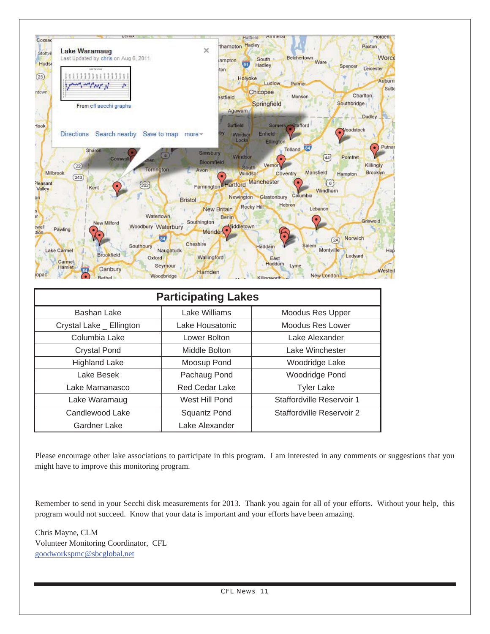

| <b>Participating Lakes</b> |                       |                           |  |  |  |
|----------------------------|-----------------------|---------------------------|--|--|--|
| Bashan Lake                | <b>Lake Williams</b>  | Moodus Res Upper          |  |  |  |
| Crystal Lake _ Ellington   | Lake Housatonic       | Moodus Res Lower          |  |  |  |
| Columbia Lake              | Lower Bolton          | Lake Alexander            |  |  |  |
| <b>Crystal Pond</b>        | Middle Bolton         | Lake Winchester           |  |  |  |
| <b>Highland Lake</b>       | Moosup Pond           | Woodridge Lake            |  |  |  |
| Lake Besek                 | Pachaug Pond          | Woodridge Pond            |  |  |  |
| Lake Mamanasco             | <b>Red Cedar Lake</b> | <b>Tyler Lake</b>         |  |  |  |
| Lake Waramaug              | West Hill Pond        | Staffordville Reservoir 1 |  |  |  |
| Candlewood Lake            | <b>Squantz Pond</b>   | Staffordville Reservoir 2 |  |  |  |
| Gardner Lake               | Lake Alexander        |                           |  |  |  |

Please encourage other lake associations to participate in this program. I am interested in any comments or suggestions that you might have to improve this monitoring program.

Remember to send in your Secchi disk measurements for 2013. Thank you again for all of your efforts. Without your help, this program would not succeed. Know that your data is important and your efforts have been amazing.

Chris Mayne, CLM Volunteer Monitoring Coordinator, CFL goodworkspmc@sbcglobal.net